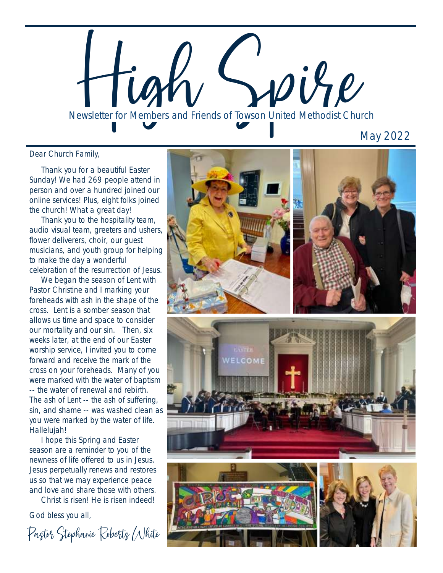**A Beautiful Easter Celebration**<br>Newsletter for Members and Friends of Towson United Methodist Church

May 2022

Dear Church Family,

 Thank you for a beautiful Easter Sunday! We had 269 people attend in person and over a hundred joined our online services! Plus, eight folks joined the church! What a great day!

 Thank you to the hospitality team, audio visual team, greeters and ushers, flower deliverers, choir, our guest musicians, and youth group for helping to make the day a wonderful celebration of the resurrection of Jesus.

 We began the season of Lent with Pastor Christine and I marking your foreheads with ash in the shape of the cross. Lent is a somber season that allows us time and space to consider our mortality and our sin. Then, six weeks later, at the end of our Easter worship service, I invited you to come forward and receive the mark of the cross on your foreheads. Many of you were marked with the water of baptism -- the water of renewal and rebirth. The ash of Lent -- the ash of suffering, sin, and shame -- was washed clean as you were marked by the water of life. Hallelujah!

 I hope this Spring and Easter season are a reminder to you of the newness of life offered to us in Jesus. Jesus perpetually renews and restores us so that we may experience peace and love and share those with others.

Christ is risen! He is risen indeed!

God bless you all,

Pastor Stephanie Roberts White

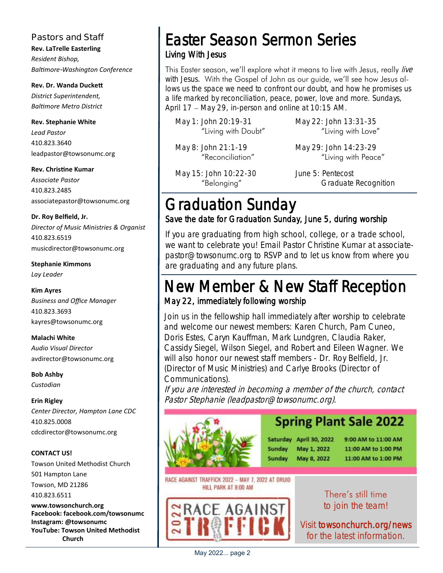#### **Pastors and Staff**

**Rev. LaTrelle Easterling** *Resident Bishop, Baltimore-Washington Conference*

**Rev. Dr. Wanda Duckett** *District Superintendent, Baltimore Metro District*

**Rev. Stephanie White** *Lead Pastor* 410.823.3640 leadpastor@towsonumc.org

**Rev. Christine Kumar**  *Associate Pastor* 410.823.2485 associatepastor@towsonumc.org

#### **Dr. Roy Belfield, Jr.**

*Director of Music Ministries & Organist* 410.823.6519 musicdirector@towsonumc.org

**Stephanie Kimmons**  *Lay Leader*

#### **Kim Ayres**

*Business and Office Manager* 410.823.3693 kayres@towsonumc.org

#### **Malachi White**

*Audio Visual Director* avdirector@towsonumc.org

**Bob Ashby** *Custodian*

#### **Erin Rigley**

*Center Director, Hampton Lane CDC*  410.825.0008 cdcdirector@towsonumc.org

#### **CONTACT US!**

Towson United Methodist Church 501 Hampton Lane Towson, MD 21286 410.823.6511

**www.towsonchurch.org Facebook: facebook.com/towsonumc Instagram: @towsonumc YouTube: Towson United Methodist Church**

## Easter Season Sermon Series Living With Jesus

This Easter season, we'll explore what it means to live with Jesus, really live with Jesus. With the Gospel of John as our guide, we'll see how Jesus allows us the space we need to confront our doubt, and how he promises us a life marked by reconciliation, peace, power, love and more. Sundays, April 17 – May 29, in-person and online at 10:15 AM.

|  | May 1: John 20:19-31 |  |                     |  |
|--|----------------------|--|---------------------|--|
|  |                      |  | "Living with Doubt" |  |

May 22: John 13:31-35 "Living with Love"

May 8: John 21:1-19 "Reconciliation" May 29: John 14:23-29 "Living with Peace"

May 15: John 10:22-30 "Belonging"

June 5: Pentecost Graduate Recognition

## Graduation Sunday Save the date for Graduation Sunday, June 5, during worship

If you are graduating from high school, college, or a trade school, we want to celebrate you! Email Pastor Christine Kumar at associatepastor@towsonumc.org to RSVP and to let us know from where you are graduating and any future plans.

## New Member & New Staff Reception May 22, immediately following worship

Join us in the fellowship hall immediately after worship to celebrate and welcome our newest members: Karen Church, Pam Cuneo, Doris Estes, Caryn Kauffman, Mark Lundgren, Claudia Raker, Cassidy Siegel, Wilson Siegel, and Robert and Eileen Wagner. We will also honor our newest staff members - Dr. Roy Belfield, Jr. (Director of Music Ministries) and Carlye Brooks (Director of Communications).

If you are interested in becoming a member of the church, contact Pastor Stephanie (leadpastor@towsonumc.org).



## **Spring Plant Sale 2022**

Saturday April 30, 2022 **Sunday** May 1, 2022 May 8, 2022 **Sunday** 

9:00 AM to 11:00 AM 11:00 AM to 1:00 PM 11:00 AM to 1:00 PM

RACE AGAINST TRAFFICK 2022 - MAY 7, 2022 AT DRUID HILL PARK AT 8:00 AM



There's still time to join the team!

Visit<towsonchurch.org/news> for the latest information.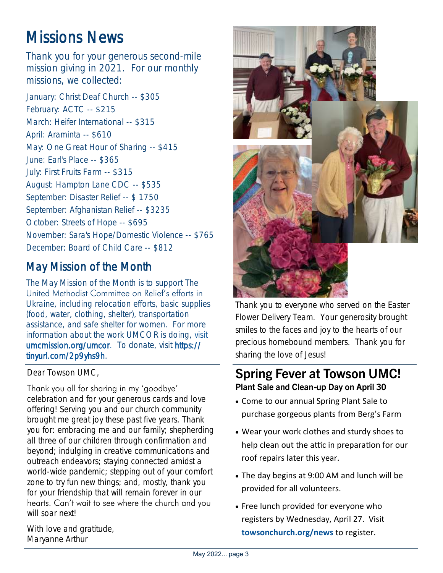# Missions News

Thank you for your generous second-mile mission giving in 2021. For our monthly missions, we collected:

January: Christ Deaf Church -- \$305 February: ACTC -- \$215 March: Heifer International -- \$315 April: Araminta -- \$610 May: One Great Hour of Sharing -- \$415 June: Earl's Place -- \$365 July: First Fruits Farm -- \$315 August: Hampton Lane CDC -- \$535 September: Disaster Relief -- \$ 1750 September: Afghanistan Relief -- \$3235 October: Streets of Hope -- \$695 November: Sara's Hope/Domestic Violence -- \$765 December: Board of Child Care -- \$812

## May Mission of the Month

The May Mission of the Month is to support The United Methodist Committee on Relief's efforts in Ukraine, including relocation efforts, basic supplies (food, water, clothing, shelter), transportation assistance, and safe shelter for women. For more information about the work UMCOR is doing, [visit](umcmission.org/umcor)  [umcmission.org/umcor.](umcmission.org/umcor) To donate, visit [https://](https://tinyurl.com/2p9yhs9h) [tinyurl.com/2p9yhs9h.](https://tinyurl.com/2p9yhs9h) 

Dear Towson UMC,

Thank you all for sharing in my 'goodbye' celebration and for your generous cards and love offering! Serving you and our church community brought me great joy these past five years. Thank you for: embracing me and our family; shepherding all three of our children through confirmation and beyond; indulging in creative communications and outreach endeavors; staying connected amidst a world-wide pandemic; stepping out of your comfort zone to try fun new things; and, mostly, thank you for your friendship that will remain forever in our hearts. Can't wait to see where the church and you will soar next!



Thank you to everyone who served on the Easter Flower Delivery Team. Your generosity brought smiles to the faces and joy to the hearts of our precious homebound members. Thank you for sharing the love of Jesus!

### **Spring Fever at Towson UMC! Plant Sale and Clean-up Day on April 30**

- Come to our annual Spring Plant Sale to purchase gorgeous plants from Berg's Farm
- Wear your work clothes and sturdy shoes to help clean out the attic in preparation for our roof repairs later this year.
- The day begins at 9:00 AM and lunch will be provided for all volunteers.
- Free lunch provided for everyone who registers by Wednesday, April 27. Visit **<towsonchurch.org/news>** to register.

With love and gratitude, Maryanne Arthur